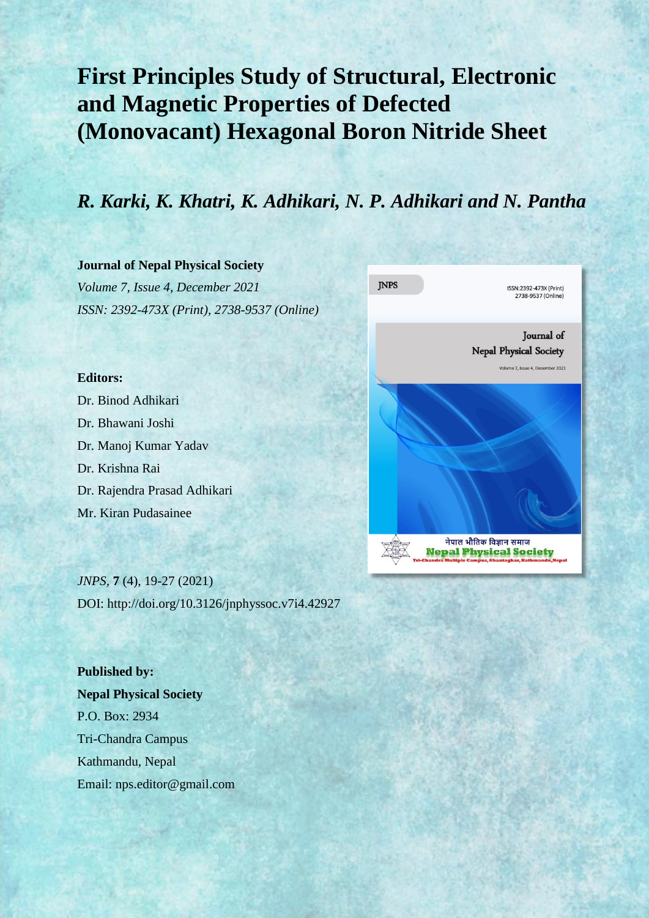# **First Principles Study of Structural, Electronic and Magnetic Properties of Defected (Monovacant) Hexagonal Boron Nitride Sheet**

# *R. Karki, K. Khatri, K. Adhikari, N. P. Adhikari and N. Pantha*

# **Journal of Nepal Physical Society** *Volume 7, Issue 4, December 2021*

*ISSN: 2392-473X (Print), 2738-9537 (Online)*

# **Editors:**

Dr. Binod Adhikari Dr. Bhawani Joshi Dr. Manoj Kumar Yadav Dr. Krishna Rai Dr. Rajendra Prasad Adhikari Mr. Kiran Pudasainee

*JNPS,* **7** (4), 19-27 (2021) DOI: http://doi.org/10.3126/jnphyssoc.v7i4.42927

**Published by: Nepal Physical Society** P.O. Box: 2934 Tri-Chandra Campus Kathmandu, Nepal Email: nps.editor@gmail.com

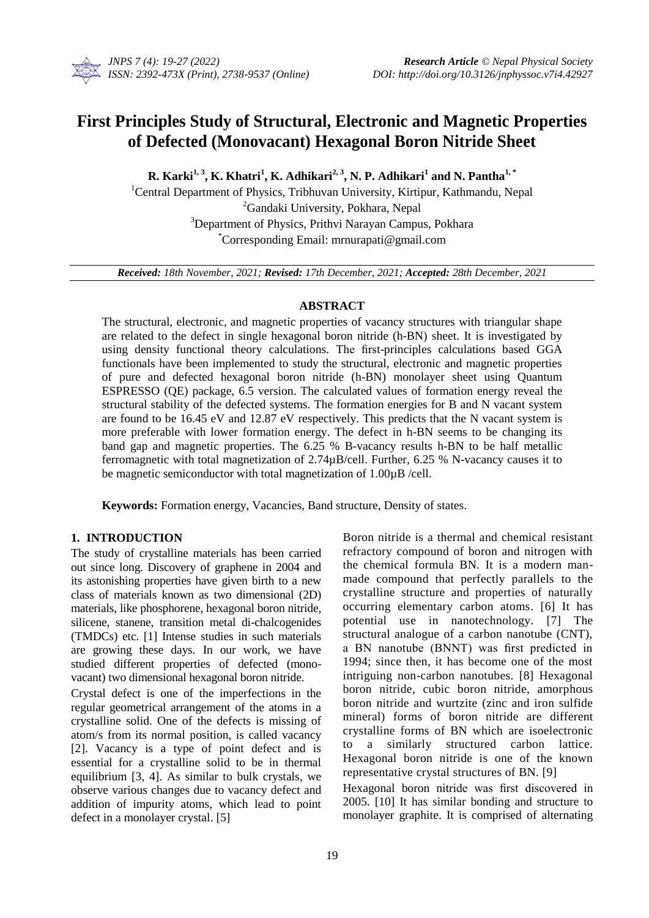

# **First Principles Study of Structural, Electronic and Magnetic Properties of Defected (Monovacant) Hexagonal Boron Nitride Sheet**

**R. Karki1, <sup>3</sup> , K. Khatri<sup>1</sup> , K. Adhikari2, <sup>3</sup> , N. P. Adhikari<sup>1</sup> and N. Pantha1, \***

<sup>1</sup>Central Department of Physics, Tribhuvan University, Kirtipur, Kathmandu, Nepal <sup>2</sup>Gandaki University, Pokhara, Nepal <sup>3</sup>Department of Physics, Prithvi Narayan Campus, Pokhara \*Corresponding Email: mrnurapati@gmail.com

*Received: 18th November, 2021; Revised: 17th December, 2021; Accepted: 28th December, 2021*

# **ABSTRACT**

The structural, electronic, and magnetic properties of vacancy structures with triangular shape are related to the defect in single hexagonal boron nitride (h-BN) sheet. It is investigated by using density functional theory calculations. The first-principles calculations based GGA functionals have been implemented to study the structural, electronic and magnetic properties of pure and defected hexagonal boron nitride (h-BN) monolayer sheet using Quantum ESPRESSO (QE) package, 6.5 version. The calculated values of formation energy reveal the structural stability of the defected systems. The formation energies for B and N vacant system are found to be 16.45 eV and 12.87 eV respectively. This predicts that the N vacant system is more preferable with lower formation energy. The defect in h-BN seems to be changing its band gap and magnetic properties. The 6.25 % B-vacancy results h-BN to be half metallic ferromagnetic with total magnetization of 2.74µB/cell. Further, 6.25 % N-vacancy causes it to be magnetic semiconductor with total magnetization of 1.00µB /cell.

**Keywords:** Formation energy, Vacancies, Band structure, Density of states.

# **1. INTRODUCTION**

The study of crystalline materials has been carried out since long. Discovery of graphene in 2004 and its astonishing properties have given birth to a new class of materials known as two dimensional (2D) materials, like phosphorene, hexagonal boron nitride, silicene, stanene, transition metal di-chalcogenides (TMDCs) etc. [1] Intense studies in such materials are growing these days. In our work, we have studied different properties of defected (monovacant) two dimensional hexagonal boron nitride.

Crystal defect is one of the imperfections in the regular geometrical arrangement of the atoms in a crystalline solid. One of the defects is missing of atom/s from its normal position, is called vacancy [2]. Vacancy is a type of point defect and is essential for a crystalline solid to be in thermal equilibrium [3, 4]. As similar to bulk crystals, we observe various changes due to vacancy defect and addition of impurity atoms, which lead to point defect in a monolayer crystal. [5]

Boron nitride is a thermal and chemical resistant refractory compound of boron and nitrogen with the chemical formula BN. It is a modern manmade compound that perfectly parallels to the crystalline structure and properties of naturally occurring elementary carbon atoms. [6] It has potential use in nanotechnology. [7] The structural analogue of a carbon nanotube (CNT), a BN nanotube (BNNT) was first predicted in 1994; since then, it has become one of the most intriguing non-carbon nanotubes. [8] Hexagonal boron nitride, cubic boron nitride, amorphous boron nitride and wurtzite (zinc and iron sulfide mineral) forms of boron nitride are different crystalline forms of BN which are isoelectronic to a similarly structured carbon lattice. Hexagonal boron nitride is one of the known representative crystal structures of BN. [9]

Hexagonal boron nitride was first discovered in 2005. [10] It has similar bonding and structure to monolayer graphite. It is comprised of alternating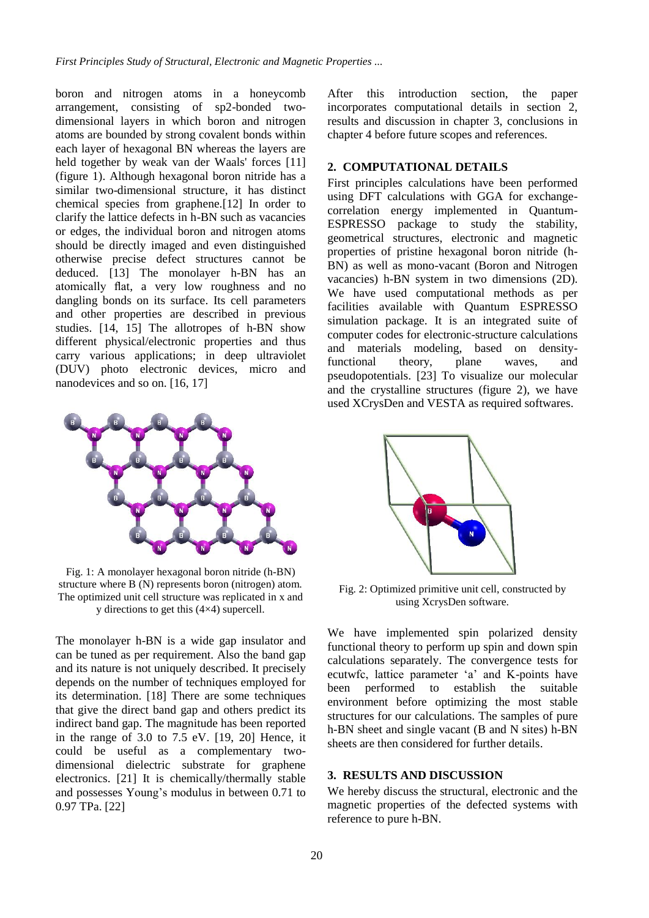boron and nitrogen atoms in a honeycomb arrangement, consisting of sp2-bonded twodimensional layers in which boron and nitrogen atoms are bounded by strong covalent bonds within each layer of hexagonal BN whereas the layers are held together by weak van der Waals' forces [11] (figure 1). Although hexagonal boron nitride has a similar two-dimensional structure, it has distinct chemical species from graphene.[12] In order to clarify the lattice defects in h-BN such as vacancies or edges, the individual boron and nitrogen atoms should be directly imaged and even distinguished otherwise precise defect structures cannot be deduced. [13] The monolayer h-BN has an atomically flat, a very low roughness and no dangling bonds on its surface. Its cell parameters and other properties are described in previous studies. [14, 15] The allotropes of h-BN show different physical/electronic properties and thus carry various applications; in deep ultraviolet (DUV) photo electronic devices, micro and nanodevices and so on. [16, 17]



Fig. 1: A monolayer hexagonal boron nitride (h-BN) structure where B (N) represents boron (nitrogen) atom. The optimized unit cell structure was replicated in x and y directions to get this (4×4) supercell.

The monolayer h-BN is a wide gap insulator and can be tuned as per requirement. Also the band gap and its nature is not uniquely described. It precisely depends on the number of techniques employed for its determination. [18] There are some techniques that give the direct band gap and others predict its indirect band gap. The magnitude has been reported in the range of 3.0 to 7.5 eV. [19, 20] Hence, it could be useful as a complementary twodimensional dielectric substrate for graphene electronics. [21] It is chemically/thermally stable and possesses Young's modulus in between 0.71 to 0.97 TPa. [22]

After this introduction section, the paper incorporates computational details in section 2, results and discussion in chapter 3, conclusions in chapter 4 before future scopes and references.

## **2. COMPUTATIONAL DETAILS**

First principles calculations have been performed using DFT calculations with GGA for exchangecorrelation energy implemented in Quantum-ESPRESSO package to study the stability, geometrical structures, electronic and magnetic properties of pristine hexagonal boron nitride (h-BN) as well as mono-vacant (Boron and Nitrogen vacancies) h-BN system in two dimensions (2D). We have used computational methods as per facilities available with Quantum ESPRESSO simulation package. It is an integrated suite of computer codes for electronic-structure calculations and materials modeling, based on densityfunctional theory, plane waves, and pseudopotentials. [23] To visualize our molecular and the crystalline structures (figure 2), we have used XCrysDen and VESTA as required softwares.



Fig. 2: Optimized primitive unit cell, constructed by using XcrysDen software.

We have implemented spin polarized density functional theory to perform up spin and down spin calculations separately. The convergence tests for ecutwfc, lattice parameter 'a' and K-points have been performed to establish the suitable environment before optimizing the most stable structures for our calculations. The samples of pure h-BN sheet and single vacant (B and N sites) h-BN sheets are then considered for further details.

# **3. RESULTS AND DISCUSSION**

We hereby discuss the structural, electronic and the magnetic properties of the defected systems with reference to pure h-BN.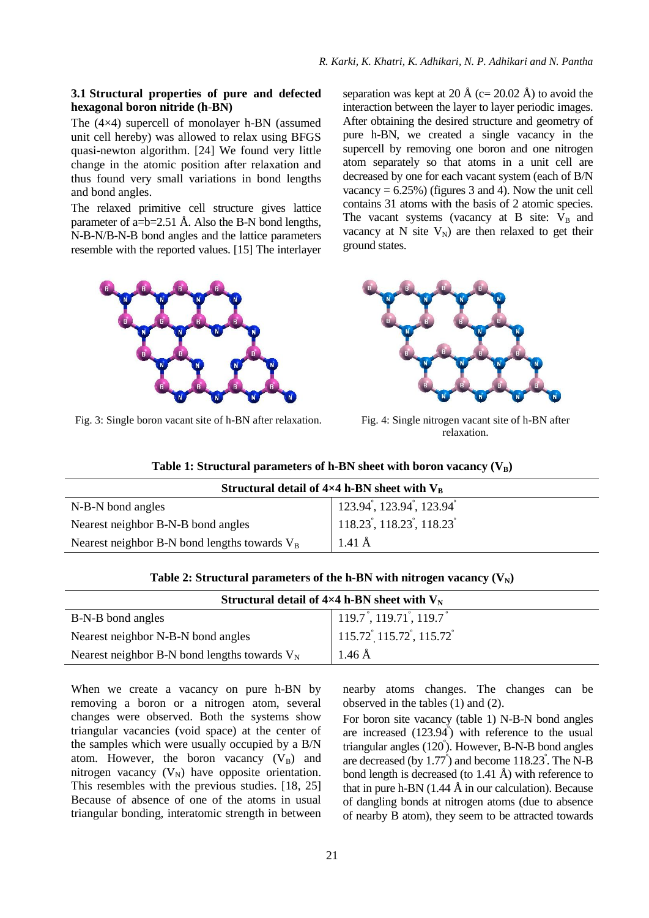#### **3.1 Structural properties of pure and defected hexagonal boron nitride (h**-**BN)**

The (4×4) supercell of monolayer h-BN (assumed unit cell hereby) was allowed to relax using BFGS quasi-newton algorithm. [24] We found very little change in the atomic position after relaxation and thus found very small variations in bond lengths and bond angles.

The relaxed primitive cell structure gives lattice parameter of a= $b=2.51$  Å. Also the B-N bond lengths, N-B-N/B-N-B bond angles and the lattice parameters resemble with the reported values. [15] The interlayer



Fig. 3: Single boron vacant site of h-BN after relaxation. Fig. 4: Single nitrogen vacant site of h-BN after

separation was kept at 20 Å (c= 20.02 Å) to avoid the interaction between the layer to layer periodic images. After obtaining the desired structure and geometry of pure h-BN, we created a single vacancy in the supercell by removing one boron and one nitrogen atom separately so that atoms in a unit cell are decreased by one for each vacant system (each of B/N vacancy  $= 6.25\%$ ) (figures 3 and 4). Now the unit cell contains 31 atoms with the basis of 2 atomic species. The vacant systems (vacancy at B site:  $V_B$  and vacancy at N site  $V_N$ ) are then relaxed to get their ground states.



relaxation.

|  |  |  | Table 1: Structural parameters of h-BN sheet with boron vacancy $(V_B)$ |
|--|--|--|-------------------------------------------------------------------------|
|--|--|--|-------------------------------------------------------------------------|

| Structural detail of $4\times4$ h-BN sheet with $V_R$ |                                                                         |  |  |  |
|-------------------------------------------------------|-------------------------------------------------------------------------|--|--|--|
| N-B-N bond angles                                     | $\vert$ 123.94 <sup>°</sup> , 123.94 <sup>°</sup> , 123.94 <sup>°</sup> |  |  |  |
| Nearest neighbor B-N-B bond angles                    | $118.23$ , 118.23, 118.23                                               |  |  |  |
| Nearest neighbor B-N bond lengths towards $V_B$       | $1.41 \text{ Å}$                                                        |  |  |  |

| Structural detail of $4\times4$ h-BN sheet with $V_N$ |                                                                |  |  |  |
|-------------------------------------------------------|----------------------------------------------------------------|--|--|--|
| B-N-B bond angles                                     | $119.7^{\degree}$ , 119.71 <sup>°</sup> , 119.7 <sup>°</sup>   |  |  |  |
| Nearest neighbor N-B-N bond angles                    | $115.72^{\degree}$ , 115.72 <sup>°</sup> , 115.72 <sup>°</sup> |  |  |  |
| Nearest neighbor B-N bond lengths towards $V_N$       | $1.46\,\mathrm{\AA}$                                           |  |  |  |

**Table 2: Structural parameters of the h-BN with nitrogen vacancy**  $(V_N)$ 

When we create a vacancy on pure h-BN by removing a boron or a nitrogen atom, several changes were observed. Both the systems show triangular vacancies (void space) at the center of the samples which were usually occupied by a B/N atom. However, the boron vacancy  $(V_B)$  and nitrogen vacancy  $(V_N)$  have opposite orientation. This resembles with the previous studies. [18, 25] Because of absence of one of the atoms in usual triangular bonding, interatomic strength in between nearby atoms changes. The changes can be observed in the tables (1) and (2).

For boron site vacancy (table 1) N-B-N bond angles are increased  $(123.94^{\degree})$  with reference to the usual triangular angles (120°). However, B-N-B bond angles are decreased (by 1.77°) and become 118.23°. The N-B bond length is decreased (to 1.41 Å) with reference to that in pure h-BN  $(1.44 \text{ Å})$  in our calculation). Because of dangling bonds at nitrogen atoms (due to absence of nearby B atom), they seem to be attracted towards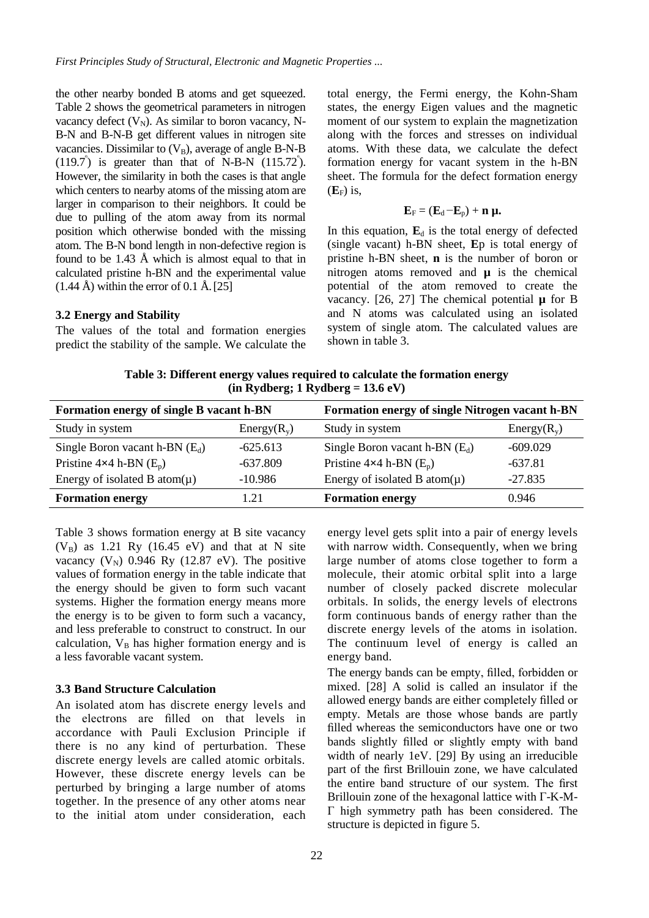the other nearby bonded B atoms and get squeezed. Table 2 shows the geometrical parameters in nitrogen vacancy defect  $(V_N)$ . As similar to boron vacancy, N-B-N and B-N-B get different values in nitrogen site vacancies. Dissimilar to  $(V_B)$ , average of angle B-N-B  $(119.7^{\circ})$  is greater than that of N-B-N  $(115.72^{\circ})$ . However, the similarity in both the cases is that angle which centers to nearby atoms of the missing atom are larger in comparison to their neighbors. It could be due to pulling of the atom away from its normal position which otherwise bonded with the missing atom. The B-N bond length in non-defective region is found to be 1.43 Å which is almost equal to that in calculated pristine h-BN and the experimental value  $(1.44 \text{ Å})$  within the error of 0.1 Å. [25]

#### **3.2 Energy and Stability**

The values of the total and formation energies predict the stability of the sample. We calculate the total energy, the Fermi energy, the Kohn-Sham states, the energy Eigen values and the magnetic moment of our system to explain the magnetization along with the forces and stresses on individual atoms. With these data, we calculate the defect formation energy for vacant system in the h-BN sheet. The formula for the defect formation energy  $(E_F)$  is,

$$
\mathbf{E}_F = (\mathbf{E}_d - \mathbf{E}_p) + \mathbf{n} \ \mathbf{\mu}.
$$

In this equation,  $\mathbf{E}_{d}$  is the total energy of defected (single vacant) h-BN sheet, **E**p is total energy of pristine h-BN sheet, **n** is the number of boron or nitrogen atoms removed and **µ** is the chemical potential of the atom removed to create the vacancy. [26, 27] The chemical potential  $\mu$  for B and N atoms was calculated using an isolated system of single atom. The calculated values are shown in table 3.

**Table 3: Different energy values required to calculate the formation energy (in Rydberg; 1 Rydberg = 13.6 eV)**

| Formation energy of single B vacant h-BN |               | Formation energy of single Nitrogen vacant h-BN |               |
|------------------------------------------|---------------|-------------------------------------------------|---------------|
| Study in system                          | $Energy(R_v)$ | Study in system                                 | $Energy(R_v)$ |
| Single Boron vacant h-BN $(E_d)$         | $-625.613$    | Single Boron vacant h-BN $(E_d)$                | $-609.029$    |
| Pristine $4\times4$ h-BN $(E_p)$         | $-637.809$    | Pristine $4\times4$ h-BN $(E_p)$                | $-637.81$     |
| Energy of isolated B atom $(\mu)$        | $-10.986$     | Energy of isolated B atom $(\mu)$               | $-27.835$     |
| <b>Formation energy</b>                  | 1.21          | <b>Formation energy</b>                         | 0.946         |

Table 3 shows formation energy at B site vacancy  $(V_B)$  as 1.21 Ry (16.45 eV) and that at N site vacancy  $(V_N)$  0.946 Ry (12.87 eV). The positive values of formation energy in the table indicate that the energy should be given to form such vacant systems. Higher the formation energy means more the energy is to be given to form such a vacancy, and less preferable to construct to construct. In our calculation,  $V_B$  has higher formation energy and is a less favorable vacant system.

#### **3.3 Band Structure Calculation**

An isolated atom has discrete energy levels and the electrons are filled on that levels in accordance with Pauli Exclusion Principle if there is no any kind of perturbation. These discrete energy levels are called atomic orbitals. However, these discrete energy levels can be perturbed by bringing a large number of atoms together. In the presence of any other atoms near to the initial atom under consideration, each

energy level gets split into a pair of energy levels with narrow width. Consequently, when we bring large number of atoms close together to form a molecule, their atomic orbital split into a large number of closely packed discrete molecular orbitals. In solids, the energy levels of electrons form continuous bands of energy rather than the discrete energy levels of the atoms in isolation. The continuum level of energy is called an energy band.

The energy bands can be empty, filled, forbidden or mixed. [28] A solid is called an insulator if the allowed energy bands are either completely filled or empty. Metals are those whose bands are partly filled whereas the semiconductors have one or two bands slightly filled or slightly empty with band width of nearly 1eV. [29] By using an irreducible part of the first Brillouin zone, we have calculated the entire band structure of our system. The first Brillouin zone of the hexagonal lattice with Γ-K-M-Γ high symmetry path has been considered. The structure is depicted in figure 5.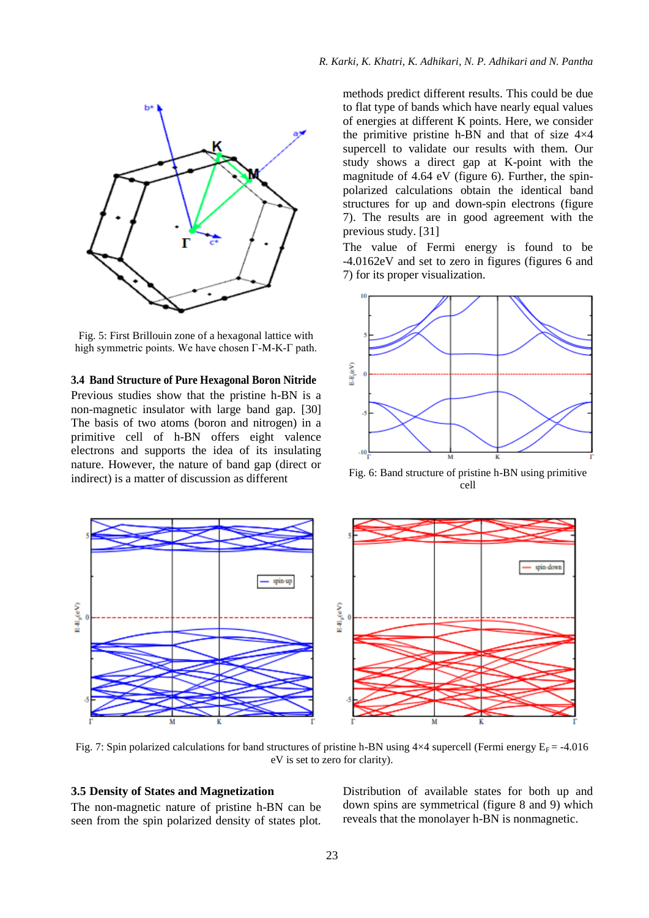

Fig. 5: First Brillouin zone of a hexagonal lattice with high symmetric points. We have chosen Γ-M-K-Γ path.

### **3.4 Band Structure of Pure Hexagonal Boron Nitride**

Previous studies show that the pristine h-BN is a non-magnetic insulator with large band gap. [30] The basis of two atoms (boron and nitrogen) in a primitive cell of h-BN offers eight valence electrons and supports the idea of its insulating nature. However, the nature of band gap (direct or indirect) is a matter of discussion as different

methods predict different results. This could be due to flat type of bands which have nearly equal values of energies at different K points. Here, we consider the primitive pristine h-BN and that of size 4×4 supercell to validate our results with them. Our study shows a direct gap at K-point with the magnitude of 4.64 eV (figure 6). Further, the spinpolarized calculations obtain the identical band structures for up and down-spin electrons (figure 7). The results are in good agreement with the previous study. [31]

The value of Fermi energy is found to be -4.0162eV and set to zero in figures (figures 6 and 7) for its proper visualization.



Fig. 6: Band structure of pristine h-BN using primitive cell



Fig. 7: Spin polarized calculations for band structures of pristine h-BN using  $4\times4$  supercell (Fermi energy  $E_F = -4.016$ ) eV is set to zero for clarity).

# **3.5 Density of States and Magnetization**

The non-magnetic nature of pristine h-BN can be seen from the spin polarized density of states plot. Distribution of available states for both up and down spins are symmetrical (figure 8 and 9) which reveals that the monolayer h-BN is nonmagnetic.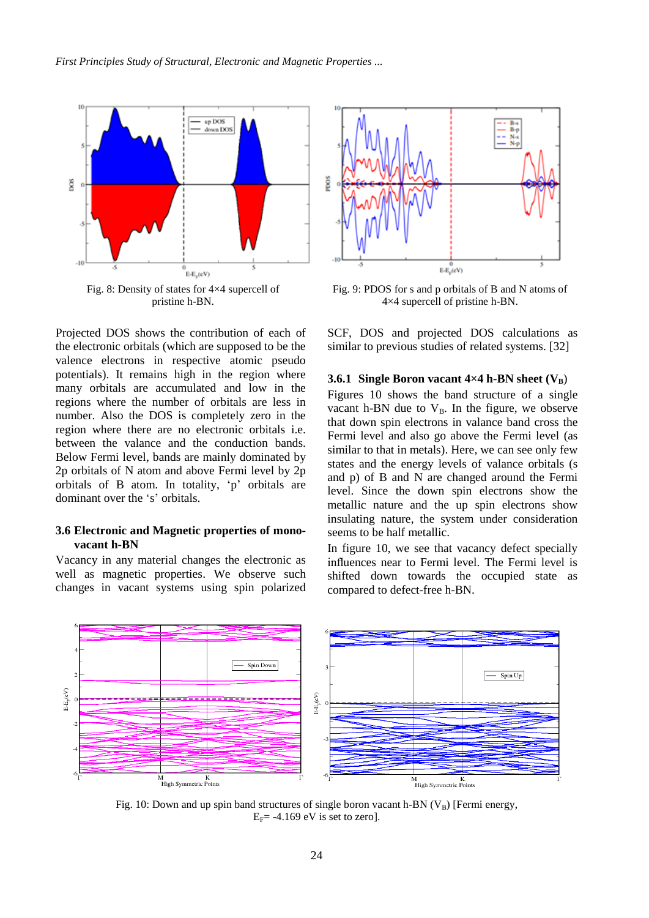

Projected DOS shows the contribution of each of the electronic orbitals (which are supposed to be the valence electrons in respective atomic pseudo potentials). It remains high in the region where many orbitals are accumulated and low in the regions where the number of orbitals are less in number. Also the DOS is completely zero in the region where there are no electronic orbitals i.e. between the valance and the conduction bands. Below Fermi level, bands are mainly dominated by 2p orbitals of N atom and above Fermi level by 2p orbitals of B atom. In totality, 'p' orbitals are dominant over the 's' orbitals.

## **3.6 Electronic and Magnetic properties of monovacant h-BN**

Vacancy in any material changes the electronic as well as magnetic properties. We observe such changes in vacant systems using spin polarized



Fig. 9: PDOS for s and p orbitals of B and N atoms of 4×4 supercell of pristine h-BN.

SCF, DOS and projected DOS calculations as similar to previous studies of related systems. [32]

#### **3.6.1** Single Boron vacant  $4\times4$  h-BN sheet  $(V_B)$

Figures 10 shows the band structure of a single vacant h-BN due to  $V_B$ . In the figure, we observe that down spin electrons in valance band cross the Fermi level and also go above the Fermi level (as similar to that in metals). Here, we can see only few states and the energy levels of valance orbitals (s and p) of B and N are changed around the Fermi level. Since the down spin electrons show the metallic nature and the up spin electrons show insulating nature, the system under consideration seems to be half metallic.

In figure 10, we see that vacancy defect specially influences near to Fermi level. The Fermi level is shifted down towards the occupied state as compared to defect-free h-BN.



Fig. 10: Down and up spin band structures of single boron vacant h-BN  $(V_B)$  [Fermi energy,  $E_F$ = -4.169 eV is set to zero].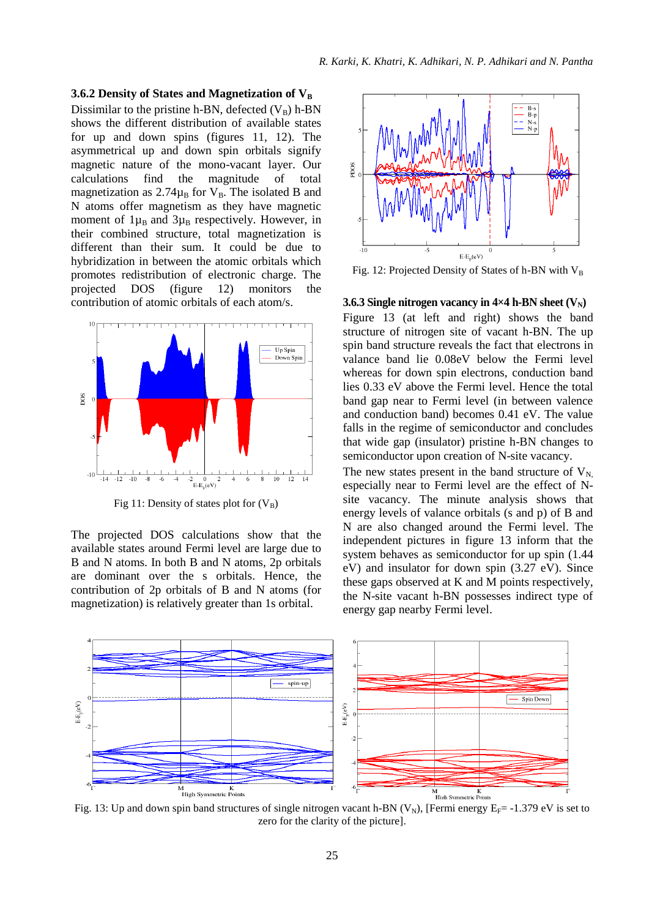#### **3.6.2 Density of States and Magnetization of V<sup>B</sup>**

Dissimilar to the pristine h-BN, defected  $(V_B)$  h-BN shows the different distribution of available states for up and down spins (figures 11, 12). The asymmetrical up and down spin orbitals signify magnetic nature of the mono-vacant layer. Our calculations find the magnitude of total magnetization as  $2.74\mu_B$  for  $V_B$ . The isolated B and N atoms offer magnetism as they have magnetic moment of  $1\mu_B$  and  $3\mu_B$  respectively. However, in their combined structure, total magnetization is different than their sum. It could be due to hybridization in between the atomic orbitals which promotes redistribution of electronic charge. The projected DOS (figure 12) monitors the contribution of atomic orbitals of each atom/s.



Fig 11: Density of states plot for  $(V_B)$ 

The projected DOS calculations show that the available states around Fermi level are large due to B and N atoms. In both B and N atoms, 2p orbitals are dominant over the s orbitals. Hence, the contribution of 2p orbitals of B and N atoms (for magnetization) is relatively greater than 1s orbital.



Fig. 12: Projected Density of States of h-BN with  $V_B$ 

#### **3.6.3 Single nitrogen vacancy in**  $4\times4$  **h-BN sheet**  $(V_N)$

Figure 13 (at left and right) shows the band structure of nitrogen site of vacant h-BN. The up spin band structure reveals the fact that electrons in valance band lie 0.08eV below the Fermi level whereas for down spin electrons, conduction band lies 0.33 eV above the Fermi level. Hence the total band gap near to Fermi level (in between valence and conduction band) becomes 0.41 eV. The value falls in the regime of semiconductor and concludes that wide gap (insulator) pristine h-BN changes to semiconductor upon creation of N-site vacancy.

The new states present in the band structure of  $V_{N}$ , especially near to Fermi level are the effect of Nsite vacancy. The minute analysis shows that energy levels of valance orbitals (s and p) of B and N are also changed around the Fermi level. The independent pictures in figure 13 inform that the system behaves as semiconductor for up spin (1.44 eV) and insulator for down spin (3.27 eV). Since these gaps observed at K and M points respectively, the N-site vacant h-BN possesses indirect type of energy gap nearby Fermi level.



Fig. 13: Up and down spin band structures of single nitrogen vacant h-BN (V<sub>N</sub>), [Fermi energy  $E_F$  = -1.379 eV is set to zero for the clarity of the picture].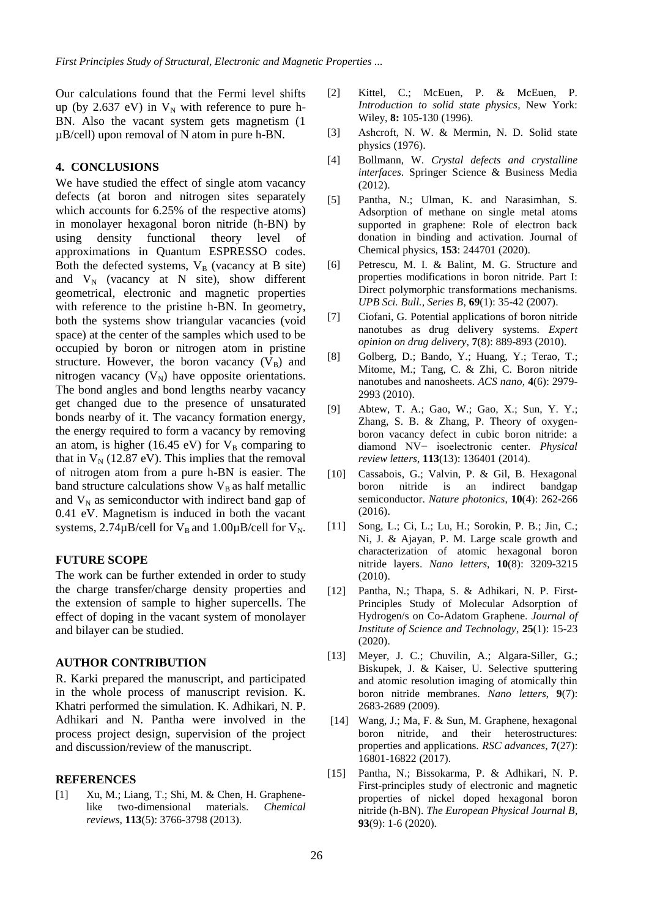Our calculations found that the Fermi level shifts up (by 2.637 eV) in  $V_N$  with reference to pure h-BN. Also the vacant system gets magnetism (1 µB/cell) upon removal of N atom in pure h-BN.

### **4. CONCLUSIONS**

We have studied the effect of single atom vacancy defects (at boron and nitrogen sites separately which accounts for  $6.25\%$  of the respective atoms) in monolayer hexagonal boron nitride (h-BN) by using density functional theory level of approximations in Quantum ESPRESSO codes. Both the defected systems,  $V_B$  (vacancy at B site) and  $V_N$  (vacancy at N site), show different geometrical, electronic and magnetic properties with reference to the pristine h-BN. In geometry, both the systems show triangular vacancies (void space) at the center of the samples which used to be occupied by boron or nitrogen atom in pristine structure. However, the boron vacancy  $(V_B)$  and nitrogen vacancy  $(V_N)$  have opposite orientations. The bond angles and bond lengths nearby vacancy get changed due to the presence of unsaturated bonds nearby of it. The vacancy formation energy, the energy required to form a vacancy by removing an atom, is higher (16.45 eV) for  $V_B$  comparing to that in  $V_N$  (12.87 eV). This implies that the removal of nitrogen atom from a pure h-BN is easier. The band structure calculations show  $V_B$  as half metallic and  $V_N$  as semiconductor with indirect band gap of 0.41 eV. Magnetism is induced in both the vacant systems,  $2.74 \mu B$ /cell for  $V_B$  and  $1.00 \mu B$ /cell for  $V_N$ .

#### **FUTURE SCOPE**

The work can be further extended in order to study the charge transfer/charge density properties and the extension of sample to higher supercells. The effect of doping in the vacant system of monolayer and bilayer can be studied.

#### **AUTHOR CONTRIBUTION**

R. Karki prepared the manuscript, and participated in the whole process of manuscript revision. K. Khatri performed the simulation. K. Adhikari, N. P. Adhikari and N. Pantha were involved in the process project design, supervision of the project and discussion/review of the manuscript.

### **REFERENCES**

[1] Xu, M.; Liang, T.; Shi, M. & Chen, H. Graphenelike two-dimensional materials. *Chemical reviews*, **113**(5): 3766-3798 (2013).

- [2] Kittel, C.; McEuen, P. & McEuen, P. *Introduction to solid state physics,* New York: Wiley, **8:** 105-130 (1996).
- [3] Ashcroft, N. W. & Mermin, N. D. Solid state physics (1976).
- [4] Bollmann, W. *Crystal defects and crystalline interfaces*. Springer Science & Business Media (2012).
- [5] Pantha, N.; Ulman, K. and Narasimhan, S. Adsorption of methane on single metal atoms supported in graphene: Role of electron back donation in binding and activation. Journal of Chemical physics, **153**: 244701 (2020).
- [6] Petrescu, M. I. & Balint, M. G. Structure and properties modifications in boron nitride. Part I: Direct polymorphic transformations mechanisms. *UPB Sci. Bull., Series B*, **69**(1): 35-42 (2007).
- [7] Ciofani, G. Potential applications of boron nitride nanotubes as drug delivery systems. *Expert opinion on drug delivery*, **7**(8): 889-893 (2010).
- [8] Golberg, D.; Bando, Y.; Huang, Y.; Terao, T.; Mitome, M.; Tang, C. & Zhi, C. Boron nitride nanotubes and nanosheets. *ACS nano*, **4**(6): 2979- 2993 (2010).
- [9] Abtew, T. A.; Gao, W.; Gao, X.; Sun, Y. Y.; Zhang, S. B. & Zhang, P. Theory of oxygenboron vacancy defect in cubic boron nitride: a diamond NV− isoelectronic center. *Physical review letters*, **113**(13): 136401 (2014).
- [10] Cassabois, G.; Valvin, P. & Gil, B. Hexagonal boron nitride is an indirect bandgap semiconductor. *Nature photonics*, **10**(4): 262-266 (2016).
- [11] Song, L.; Ci, L.; Lu, H.; Sorokin, P. B.; Jin, C.; Ni, J. & Ajayan, P. M. Large scale growth and characterization of atomic hexagonal boron nitride layers. *Nano letters*, **10**(8): 3209-3215 (2010).
- [12] Pantha, N.; Thapa, S. & Adhikari, N. P. First-Principles Study of Molecular Adsorption of Hydrogen/s on Co-Adatom Graphene. *Journal of Institute of Science and Technology*, **25**(1): 15-23 (2020).
- [13] Meyer, J. C.; Chuvilin, A.; Algara-Siller, G.; Biskupek, J. & Kaiser, U. Selective sputtering and atomic resolution imaging of atomically thin boron nitride membranes. *Nano letters*, **9**(7): 2683-2689 (2009).
- [14] Wang, J.; Ma, F. & Sun, M. Graphene, hexagonal boron nitride, and their heterostructures: properties and applications. *RSC advances*, **7**(27): 16801-16822 (2017).
- [15] Pantha, N.; Bissokarma, P. & Adhikari, N. P. First-principles study of electronic and magnetic properties of nickel doped hexagonal boron nitride (h-BN). *The European Physical Journal B*, **93**(9): 1-6 (2020).